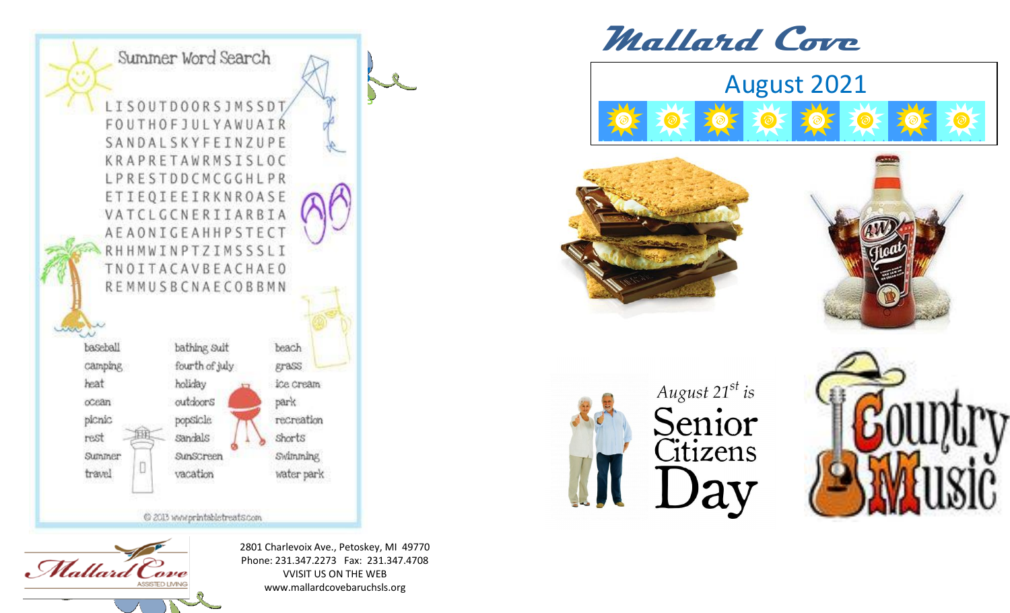

@ 2013 www.printabletreats.com



2801 Charlevoix Ave., Petoskey, MI 49770 Phone: 231.347.2273 Fax: 231.347.4708 VVISIT US ON THE WEB www.mallardcovebaruchsls.org

**Mallard Cove**